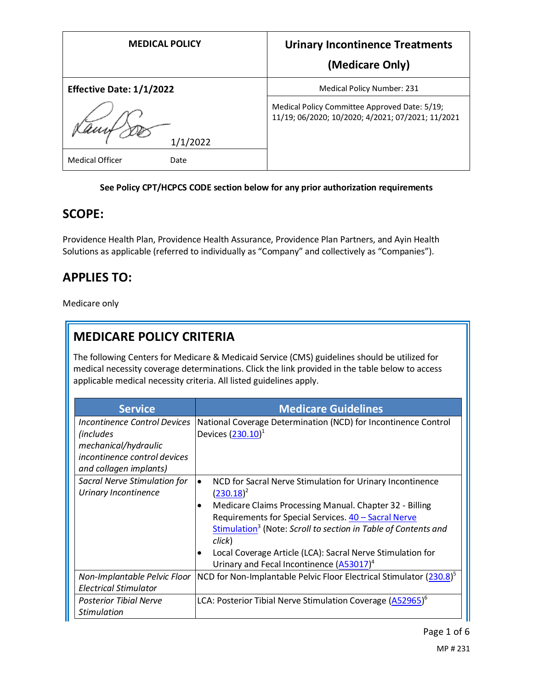| <b>MEDICAL POLICY</b>    | <b>Urinary Incontinence Treatments</b>                                                             |
|--------------------------|----------------------------------------------------------------------------------------------------|
|                          | (Medicare Only)                                                                                    |
| Effective Date: 1/1/2022 | <b>Medical Policy Number: 231</b>                                                                  |
| 1/1/2022                 | Medical Policy Committee Approved Date: 5/19;<br>11/19; 06/2020; 10/2020; 4/2021; 07/2021; 11/2021 |
| Medical Officer<br>Date  |                                                                                                    |

#### **See Policy CPT/HCPCS CODE section below for any prior authorization requirements**

#### **SCOPE:**

Providence Health Plan, Providence Health Assurance, Providence Plan Partners, and Ayin Health Solutions as applicable (referred to individually as "Company" and collectively as "Companies").

# **APPLIES TO:**

Medicare only

# **MEDICARE POLICY CRITERIA**

The following Centers for Medicare & Medicaid Service (CMS) guidelines should be utilized for medical necessity coverage determinations. Click the link provided in the table below to access applicable medical necessity criteria. All listed guidelines apply.

| <b>Service</b>                                                                                                                      | <b>Medicare Guidelines</b>                                                                                                                                                                                                                                                                                                                                                                                              |
|-------------------------------------------------------------------------------------------------------------------------------------|-------------------------------------------------------------------------------------------------------------------------------------------------------------------------------------------------------------------------------------------------------------------------------------------------------------------------------------------------------------------------------------------------------------------------|
| Incontinence Control Devices<br><i>(includes)</i><br>mechanical/hydraulic<br>incontinence control devices<br>and collagen implants) | National Coverage Determination (NCD) for Incontinence Control<br>Devices $(230.10)^1$                                                                                                                                                                                                                                                                                                                                  |
| Sacral Nerve Stimulation for<br>Urinary Incontinence                                                                                | NCD for Sacral Nerve Stimulation for Urinary Incontinence<br>$\bullet$<br>$(230.18)^2$<br>Medicare Claims Processing Manual. Chapter 32 - Billing<br>Requirements for Special Services. 40 - Sacral Nerve<br>Stimulation <sup>3</sup> (Note: Scroll to section in Table of Contents and<br>click)<br>Local Coverage Article (LCA): Sacral Nerve Stimulation for<br>Urinary and Fecal Incontinence (A53017) <sup>4</sup> |
| Non-Implantable Pelvic Floor<br><b>Electrical Stimulator</b>                                                                        | NCD for Non-Implantable Pelvic Floor Electrical Stimulator (230.8) <sup>5</sup>                                                                                                                                                                                                                                                                                                                                         |
| <b>Posterior Tibial Nerve</b><br><b>Stimulation</b>                                                                                 | LCA: Posterior Tibial Nerve Stimulation Coverage (A52965) <sup>6</sup>                                                                                                                                                                                                                                                                                                                                                  |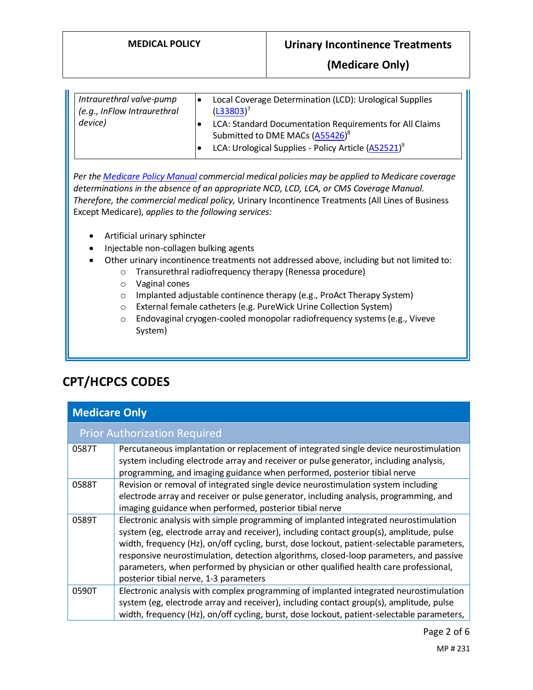| Intraurethral valve-pump<br>(e.g., InFlow Intraurethral | lo | Local Coverage Determination (LCD): Urological Supplies<br>$(L33803)^7$                                                                                                   |
|---------------------------------------------------------|----|---------------------------------------------------------------------------------------------------------------------------------------------------------------------------|
| device)                                                 | ٠  | LCA: Standard Documentation Requirements for All Claims<br>Submitted to DME MACs (A55426) <sup>8</sup><br>LCA: Urological Supplies - Policy Article (A52521) <sup>9</sup> |

*Per th[e Medicare Policy Manual](https://s3-us-west-2.amazonaws.com/images.provhealth.org/Providence-Images/PHP_PHA_Medical_Policy_CMS_Manual.pdf) commercial medical policies may be applied to Medicare coverage determinations in the absence of an appropriate NCD, LCD, LCA, or CMS Coverage Manual. Therefore, the commercial medical policy,* Urinary Incontinence Treatments (All Lines of Business Except Medicare), *applies to the following services:*

- Artificial urinary sphincter
- Injectable non-collagen bulking agents
- Other urinary incontinence treatments not addressed above, including but not limited to:
	- o Transurethral radiofrequency therapy (Renessa procedure)
	- o Vaginal cones
	- o Implanted adjustable continence therapy (e.g., ProAct Therapy System)
	- o External female catheters (e.g. PureWick Urine Collection System)
	- o Endovaginal cryogen-cooled monopolar radiofrequency systems (e.g., Viveve System)

# **CPT/HCPCS CODES**

| <b>Medicare Only</b>                |                                                                                                                                                                                                                                                                                                                                                                                                                                                                                                           |  |  |  |
|-------------------------------------|-----------------------------------------------------------------------------------------------------------------------------------------------------------------------------------------------------------------------------------------------------------------------------------------------------------------------------------------------------------------------------------------------------------------------------------------------------------------------------------------------------------|--|--|--|
| <b>Prior Authorization Required</b> |                                                                                                                                                                                                                                                                                                                                                                                                                                                                                                           |  |  |  |
| 0587T                               | Percutaneous implantation or replacement of integrated single device neurostimulation<br>system including electrode array and receiver or pulse generator, including analysis,<br>programming, and imaging guidance when performed, posterior tibial nerve                                                                                                                                                                                                                                                |  |  |  |
| 0588T                               | Revision or removal of integrated single device neurostimulation system including<br>electrode array and receiver or pulse generator, including analysis, programming, and<br>imaging guidance when performed, posterior tibial nerve                                                                                                                                                                                                                                                                     |  |  |  |
| 0589T                               | Electronic analysis with simple programming of implanted integrated neurostimulation<br>system (eg, electrode array and receiver), including contact group(s), amplitude, pulse<br>width, frequency (Hz), on/off cycling, burst, dose lockout, patient-selectable parameters,<br>responsive neurostimulation, detection algorithms, closed-loop parameters, and passive<br>parameters, when performed by physician or other qualified health care professional,<br>posterior tibial nerve, 1-3 parameters |  |  |  |
| 0590T                               | Electronic analysis with complex programming of implanted integrated neurostimulation<br>system (eg, electrode array and receiver), including contact group(s), amplitude, pulse<br>width, frequency (Hz), on/off cycling, burst, dose lockout, patient-selectable parameters,                                                                                                                                                                                                                            |  |  |  |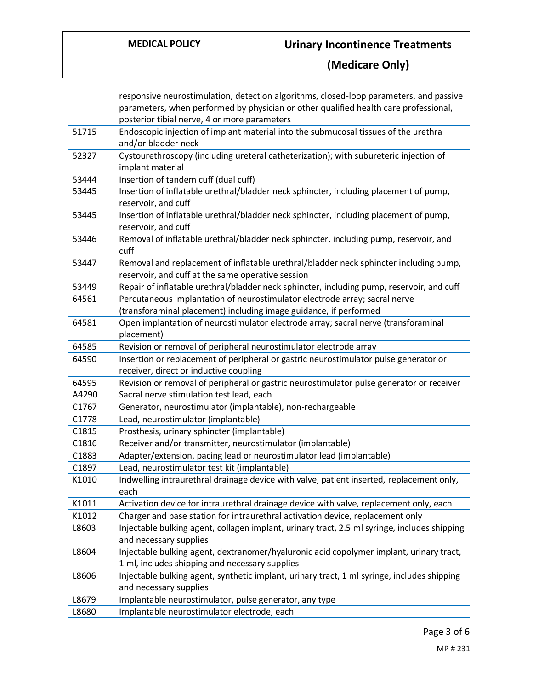|       | responsive neurostimulation, detection algorithms, closed-loop parameters, and passive       |
|-------|----------------------------------------------------------------------------------------------|
|       | parameters, when performed by physician or other qualified health care professional,         |
|       | posterior tibial nerve, 4 or more parameters                                                 |
| 51715 | Endoscopic injection of implant material into the submucosal tissues of the urethra          |
|       | and/or bladder neck                                                                          |
| 52327 | Cystourethroscopy (including ureteral catheterization); with subureteric injection of        |
|       | implant material                                                                             |
| 53444 | Insertion of tandem cuff (dual cuff)                                                         |
| 53445 | Insertion of inflatable urethral/bladder neck sphincter, including placement of pump,        |
|       | reservoir, and cuff                                                                          |
| 53445 | Insertion of inflatable urethral/bladder neck sphincter, including placement of pump,        |
|       | reservoir, and cuff                                                                          |
| 53446 | Removal of inflatable urethral/bladder neck sphincter, including pump, reservoir, and        |
|       | cuff                                                                                         |
| 53447 | Removal and replacement of inflatable urethral/bladder neck sphincter including pump,        |
|       | reservoir, and cuff at the same operative session                                            |
| 53449 | Repair of inflatable urethral/bladder neck sphincter, including pump, reservoir, and cuff    |
| 64561 | Percutaneous implantation of neurostimulator electrode array; sacral nerve                   |
|       | (transforaminal placement) including image guidance, if performed                            |
| 64581 | Open implantation of neurostimulator electrode array; sacral nerve (transforaminal           |
|       | placement)                                                                                   |
| 64585 | Revision or removal of peripheral neurostimulator electrode array                            |
| 64590 | Insertion or replacement of peripheral or gastric neurostimulator pulse generator or         |
|       | receiver, direct or inductive coupling                                                       |
| 64595 | Revision or removal of peripheral or gastric neurostimulator pulse generator or receiver     |
| A4290 | Sacral nerve stimulation test lead, each                                                     |
| C1767 | Generator, neurostimulator (implantable), non-rechargeable                                   |
| C1778 | Lead, neurostimulator (implantable)                                                          |
| C1815 | Prosthesis, urinary sphincter (implantable)                                                  |
| C1816 | Receiver and/or transmitter, neurostimulator (implantable)                                   |
| C1883 | Adapter/extension, pacing lead or neurostimulator lead (implantable)                         |
| C1897 | Lead, neurostimulator test kit (implantable)                                                 |
| K1010 | Indwelling intraurethral drainage device with valve, patient inserted, replacement only,     |
|       | each                                                                                         |
| K1011 | Activation device for intraurethral drainage device with valve, replacement only, each       |
| K1012 | Charger and base station for intraurethral activation device, replacement only               |
| L8603 | Injectable bulking agent, collagen implant, urinary tract, 2.5 ml syringe, includes shipping |
|       | and necessary supplies                                                                       |
| L8604 | Injectable bulking agent, dextranomer/hyaluronic acid copolymer implant, urinary tract,      |
|       | 1 ml, includes shipping and necessary supplies                                               |
| L8606 | Injectable bulking agent, synthetic implant, urinary tract, 1 ml syringe, includes shipping  |
|       | and necessary supplies                                                                       |
| L8679 | Implantable neurostimulator, pulse generator, any type                                       |
| L8680 | Implantable neurostimulator electrode, each                                                  |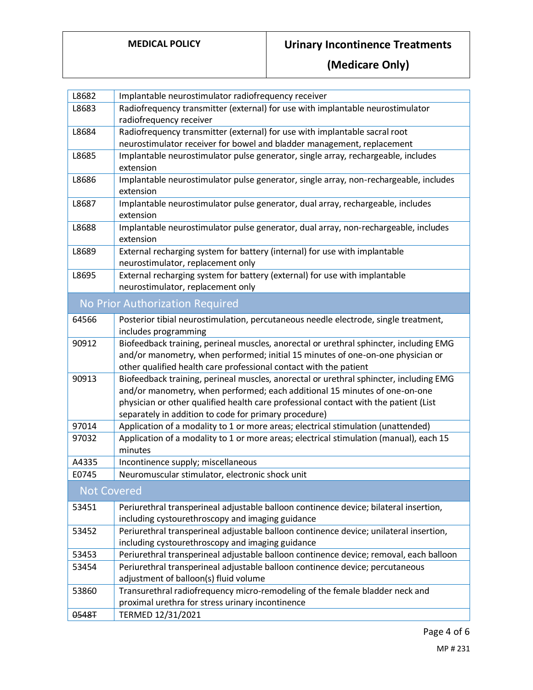| L8682              | Implantable neurostimulator radiofrequency receiver                                                                                                                                                                                                                                                                   |  |  |
|--------------------|-----------------------------------------------------------------------------------------------------------------------------------------------------------------------------------------------------------------------------------------------------------------------------------------------------------------------|--|--|
| L8683              | Radiofrequency transmitter (external) for use with implantable neurostimulator                                                                                                                                                                                                                                        |  |  |
|                    | radiofrequency receiver                                                                                                                                                                                                                                                                                               |  |  |
| L8684              | Radiofrequency transmitter (external) for use with implantable sacral root                                                                                                                                                                                                                                            |  |  |
|                    | neurostimulator receiver for bowel and bladder management, replacement                                                                                                                                                                                                                                                |  |  |
| L8685              | Implantable neurostimulator pulse generator, single array, rechargeable, includes<br>extension                                                                                                                                                                                                                        |  |  |
| L8686              | Implantable neurostimulator pulse generator, single array, non-rechargeable, includes<br>extension                                                                                                                                                                                                                    |  |  |
| L8687              | Implantable neurostimulator pulse generator, dual array, rechargeable, includes<br>extension                                                                                                                                                                                                                          |  |  |
| L8688              | Implantable neurostimulator pulse generator, dual array, non-rechargeable, includes<br>extension                                                                                                                                                                                                                      |  |  |
| L8689              | External recharging system for battery (internal) for use with implantable<br>neurostimulator, replacement only                                                                                                                                                                                                       |  |  |
| L8695              | External recharging system for battery (external) for use with implantable<br>neurostimulator, replacement only                                                                                                                                                                                                       |  |  |
|                    | No Prior Authorization Required                                                                                                                                                                                                                                                                                       |  |  |
| 64566              | Posterior tibial neurostimulation, percutaneous needle electrode, single treatment,<br>includes programming                                                                                                                                                                                                           |  |  |
| 90912              | Biofeedback training, perineal muscles, anorectal or urethral sphincter, including EMG<br>and/or manometry, when performed; initial 15 minutes of one-on-one physician or<br>other qualified health care professional contact with the patient                                                                        |  |  |
| 90913              | Biofeedback training, perineal muscles, anorectal or urethral sphincter, including EMG<br>and/or manometry, when performed; each additional 15 minutes of one-on-one<br>physician or other qualified health care professional contact with the patient (List<br>separately in addition to code for primary procedure) |  |  |
| 97014              | Application of a modality to 1 or more areas; electrical stimulation (unattended)                                                                                                                                                                                                                                     |  |  |
| 97032              | Application of a modality to 1 or more areas; electrical stimulation (manual), each 15<br>minutes                                                                                                                                                                                                                     |  |  |
| A4335              | Incontinence supply; miscellaneous                                                                                                                                                                                                                                                                                    |  |  |
| E0745              | Neuromuscular stimulator, electronic shock unit                                                                                                                                                                                                                                                                       |  |  |
| <b>Not Covered</b> |                                                                                                                                                                                                                                                                                                                       |  |  |
| 53451              | Periurethral transperineal adjustable balloon continence device; bilateral insertion,<br>including cystourethroscopy and imaging guidance                                                                                                                                                                             |  |  |
| 53452              | Periurethral transperineal adjustable balloon continence device; unilateral insertion,<br>including cystourethroscopy and imaging guidance                                                                                                                                                                            |  |  |
| 53453              | Periurethral transperineal adjustable balloon continence device; removal, each balloon                                                                                                                                                                                                                                |  |  |
| 53454              | Periurethral transperineal adjustable balloon continence device; percutaneous                                                                                                                                                                                                                                         |  |  |
|                    | adjustment of balloon(s) fluid volume                                                                                                                                                                                                                                                                                 |  |  |
| 53860              | Transurethral radiofrequency micro-remodeling of the female bladder neck and                                                                                                                                                                                                                                          |  |  |
|                    | proximal urethra for stress urinary incontinence                                                                                                                                                                                                                                                                      |  |  |
| 0548T              | TERMED 12/31/2021                                                                                                                                                                                                                                                                                                     |  |  |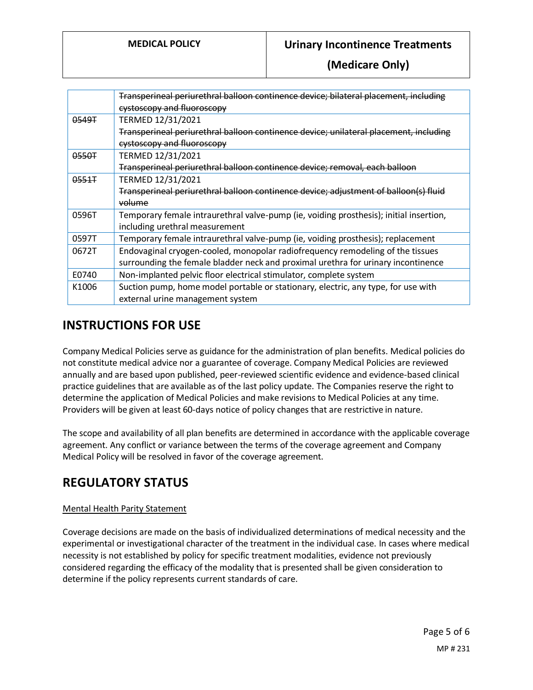|       | Transperineal periurethral balloon continence device; bilateral placement, including   |
|-------|----------------------------------------------------------------------------------------|
|       | eystoscopy and fluoroscopy                                                             |
| 0549T | TERMED 12/31/2021                                                                      |
|       | Transperineal periurethral balloon continence device; unilateral placement, including  |
|       | eystoscopy and fluoroscopy                                                             |
| 0550T | TERMED 12/31/2021                                                                      |
|       | Transperineal periurethral balloon continence device; removal, each balloon            |
| 0.551 | TERMED 12/31/2021                                                                      |
|       | Transperineal periurethral balloon continence device; adjustment of balloon(s) fluid   |
|       | volume                                                                                 |
| 0596T | Temporary female intraurethral valve-pump (ie, voiding prosthesis); initial insertion, |
|       | including urethral measurement                                                         |
| 0597T | Temporary female intraurethral valve-pump (ie, voiding prosthesis); replacement        |
| 0672T | Endovaginal cryogen-cooled, monopolar radiofrequency remodeling of the tissues         |
|       | surrounding the female bladder neck and proximal urethra for urinary incontinence      |
| E0740 | Non-implanted pelvic floor electrical stimulator, complete system                      |
| K1006 | Suction pump, home model portable or stationary, electric, any type, for use with      |
|       | external urine management system                                                       |

### **INSTRUCTIONS FOR USE**

Company Medical Policies serve as guidance for the administration of plan benefits. Medical policies do not constitute medical advice nor a guarantee of coverage. Company Medical Policies are reviewed annually and are based upon published, peer-reviewed scientific evidence and evidence-based clinical practice guidelines that are available as of the last policy update. The Companies reserve the right to determine the application of Medical Policies and make revisions to Medical Policies at any time. Providers will be given at least 60-days notice of policy changes that are restrictive in nature.

The scope and availability of all plan benefits are determined in accordance with the applicable coverage agreement. Any conflict or variance between the terms of the coverage agreement and Company Medical Policy will be resolved in favor of the coverage agreement.

# **REGULATORY STATUS**

#### Mental Health Parity Statement

Coverage decisions are made on the basis of individualized determinations of medical necessity and the experimental or investigational character of the treatment in the individual case. In cases where medical necessity is not established by policy for specific treatment modalities, evidence not previously considered regarding the efficacy of the modality that is presented shall be given consideration to determine if the policy represents current standards of care.